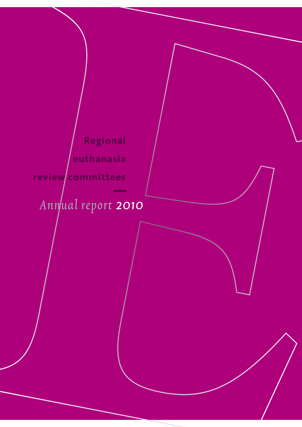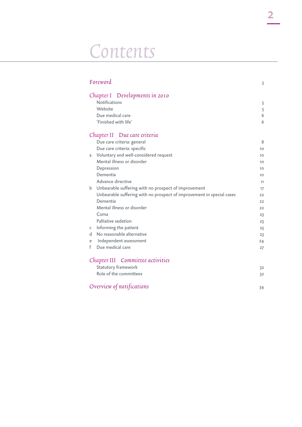# Contents

| Foreword                                                              | 3  |
|-----------------------------------------------------------------------|----|
| Chapter I Developments in 2010                                        |    |
| <b>Notifications</b>                                                  | 5  |
| Website                                                               | 5  |
| Due medical care                                                      | 6  |
| 'Finished with life'                                                  | 6  |
| Chapter II Due care criteria                                          |    |
| Due care criteria: general                                            | 8  |
| Due care criteria: specific                                           | 10 |
| Voluntary and well-considered request<br>a                            | 10 |
| Mental illness or disorder                                            | 10 |
| Depression                                                            | 10 |
| Dementia                                                              | 10 |
| Advance directive                                                     | 11 |
| b Unbearable suffering with no prospect of improvement                | 17 |
| Unbearable suffering with no prospect of improvement in special cases | 22 |
| Dementia                                                              | 22 |
| Mental illness or disorder                                            | 22 |
| Coma                                                                  | 23 |
| Palliative sedation                                                   | 23 |
| c Informing the patient                                               | 23 |
| No reasonable alternative<br>d                                        | 23 |
| Independent assessment<br>e                                           | 24 |
| f<br>Due medical care                                                 | 27 |
| Chapter III Committee activities                                      |    |
| Statutory framework                                                   | 32 |
| Role of the committees                                                | 32 |
|                                                                       |    |

| Overview of notifications |  |
|---------------------------|--|
|---------------------------|--|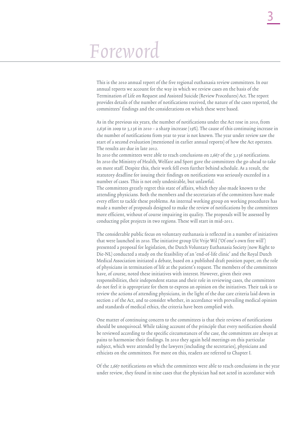This is the 2010 annual report of the five regional euthanasia review committees. In our annual reports we account for the way in which we review cases on the basis of the Termination of Life on Request and Assisted Suicide (Review Procedures) Act. The report provides details of the number of notifications received, the nature of the cases reported, the committees' findings and the considerations on which these were based.

As in the previous six years, the number of notifications under the Act rose in 2010, from 2,636 in 2009 to 3,136 in 2010 – a sharp increase (19%). The cause of this continuing increase in the number of notifications from year to year is not known. The year under review saw the start of a second evaluation (mentioned in earlier annual reports) of how the Act operates. The results are due in late 2012.

In 2010 the committees were able to reach conclusions on 2,667 of the 3,136 notifications. In 2010 the Ministry of Health, Welfare and Sport gave the committees the go-ahead to take on more staff. Despite this, their work fell even further behind schedule. As a result, the statutory deadline for issuing their findings on notifications was seriously exceeded in a number of cases. This is not only undesirable, but unlawful.

The committees greatly regret this state of affairs, which they also made known to the attending physicians. Both the members and the secretariats of the committees have made every effort to tackle these problems. An internal working group on working procedures has made a number of proposals designed to make the review of notifications by the committees more efficient, without of course impairing its quality. The proposals will be assessed by conducting pilot projects in two regions. These will start in mid-2011.

The considerable public focus on voluntary euthanasia is reflected in a number of initiatives that were launched in 2010. The initiative group Uit Vrije Wil ('Of one's own free will') presented a proposal for legislation, the Dutch Voluntary Euthanasia Society (now Right to Die-NL) conducted a study on the feasibility of an 'end-of-life clinic' and the Royal Dutch Medical Association initiated a debate, based on a published draft position paper, on the role of physicians in termination of life at the patient's request. The members of the committees have, of course, noted these initiatives with interest. However, given their own responsibilities, their independent status and their role in reviewing cases, the committees do not feel it is appropriate for them to express an opinion on the initiatives. Their task is to review the actions of attending physicians, in the light of the due care criteria laid down in section 2 of the Act, and to consider whether, in accordance with prevailing medical opinion and standards of medical ethics, the criteria have been complied with.

One matter of continuing concern to the committees is that their reviews of notifications should be unequivocal. While taking account of the principle that every notification should be reviewed according to the specific circumstances of the case, the committees are always at pains to harmonise their findings. In 2010 they again held meetings on this particular subject, which were attended by the lawyers (including the secretaries), physicians and ethicists on the committees. For more on this, readers are referred to Chapter I.

Of the 2,667 notifications on which the committees were able to reach conclusions in the year under review, they found in nine cases that the physician had not acted in accordance with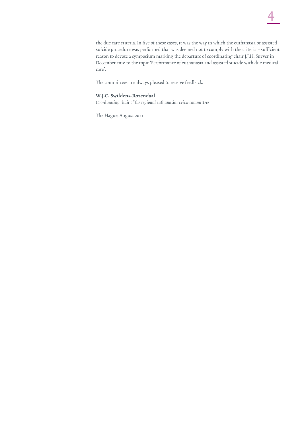

The committees are always pleased to receive feedback.

#### W.J.C. Swildens-Rozendaal

Coordinating chair of the regional euthanasia review committees

The Hague, August 2011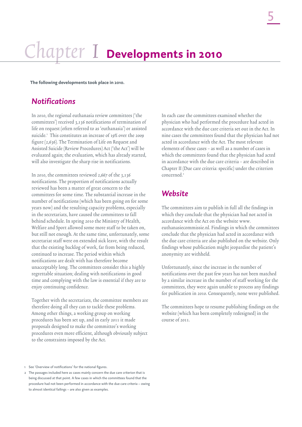# Chapter I **Developments in 2010**

**The following developments took place in 2010.**

## *Notifications*

In 2010, the regional euthanasia review committees ('the committees') received 3,136 notifications of termination of life on request (often referred to as 'euthanasia') or assisted suicide.1 This constitutes an increase of 19% over the 2009 figure (2,636). The Termination of Life on Request and Assisted Suicide (Review Procedures) Act ('the Act') will be evaluated again; the evaluation, which has already started, will also investigate the sharp rise in notifications.

In 2010, the committees reviewed 2,667 of the 3,136 notifications. The proportion of notifications actually reviewed has been a matter of great concern to the committees for some time. The substantial increase in the number of notifications (which has been going on for some years now) and the resulting capacity problems, especially in the secretariats, have caused the committees to fall behind schedule. In spring 2010 the Ministry of Health, Welfare and Sport allowed some more staff to be taken on, but still not enough. At the same time, unfortunately, some secretariat staff were on extended sick leave, with the result that the existing backlog of work, far from being reduced, continued to increase. The period within which notifications are dealt with has therefore become unacceptably long. The committees consider this a highly regrettable situation; dealing with notifications in good time and complying with the law is essential if they are to enjoy continuing confidence.

Together with the secretariats, the committee members are therefore doing all they can to tackle these problems. Among other things, a working group on working procedures has been set up, and in early 2011 it made proposals designed to make the committee's working procedures even more efficient, although obviously subject to the constraints imposed by the Act.

In each case the committees examined whether the physician who had performed the procedure had acted in accordance with the due care criteria set out in the Act. In nine cases the committees found that the physician had not acted in accordance with the Act. The most relevant elements of these cases – as well as a number of cases in which the committees found that the physician had acted in accordance with the due care criteria – are described in Chapter II (Due care criteria: specific) under the criterion concerned.<sup>2</sup>

## *Website*

The committees aim to publish in full all the findings in which they conclude that the physician had not acted in accordance with the Act on the website www. euthanasiecommissie.nl. Findings in which the committees conclude that the physician had acted in accordance with the due care criteria are also published on the website. Only findings whose publication might jeopardise the patient's anonymity are withheld.

Unfortunately, since the increase in the number of notifications over the past few years has not been matched by a similar increase in the number of staff working for the committees, they were again unable to process any findings for publication in 2010. Consequently, none were published.

The committees hope to resume publishing findings on the website (which has been completely redesigned) in the course of 2011.

<sup>1</sup> See 'Overview of notifications' for the national figures.

<sup>2</sup> The passages included here as cases mainly concern the due care criterion that is being discussed at that point. A few cases in which the committees found that the procedure had not been performed in accordance with the due care criteria – owing to almost identical failings – are also given as examples.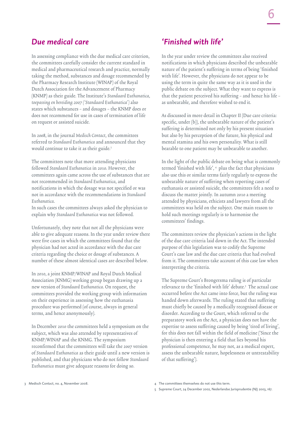## *Due medical care*

In assessing compliance with the due medical care criterion, the committees carefully consider the current standard in medical and pharmaceutical research and practice, normally taking the method, substances and dosage recommended by the Pharmacy Research Institute (WINAP) of the Royal Dutch Association for the Advancement of Pharmacy (KNMP) as their guide. The Institute's Standaard Euthanatica, toepassing en bereiding 2007 ('Standaard Euthanatica') also states which substances – and dosages – the KNMP does or does not recommend for use in cases of termination of life on request or assisted suicide.

In 2008, in the journal Medisch Contact, the committees referred to Standaard Euthanatica and announced that they would continue to take it as their guide.<sup>3</sup>

The committees note that more attending physicians followed Standaard Euthanatica in 2010. However, the committees again came across the use of substances that are not recommended in Standaard Euthanatica, and notifications in which the dosage was not specified or was not in accordance with the recommendations in Standaard Euthanatica.

In such cases the committees always asked the physician to explain why Standaard Euthanatica was not followed.

Unfortunately, they note that not all the physicians were able to give adequate reasons. In the year under review there were five cases in which the committees found that the physician had not acted in accordance with the due care criteria regarding the choice or dosage of substances. A number of these almost identical cases are described below.

In 2010, a joint KNMP/WINAP and Royal Dutch Medical Association (KNMG) working group began drawing up a new version of Standaard Euthanatica. On request, the committees provided the working group with information on their experience in assessing how the euthanasia procedure was performed (of course, always in general terms, and hence anonymously).

In December 2010 the committees held a symposium on the subject, which was also attended by representatives of KNMP/WINAP and the KNMG. The symposium reconfirmed that the committees will take the 2007 version of Standaard Euthanatica as their guide until a new version is published, and that physicians who do not follow Standaard Euthanatica must give adequate reasons for doing so.

## *'Finished with life'*

In the year under review the committees also received notifications in which physicians described the unbearable nature of the patient's suffering in terms of being 'finished with life'. However, the physicians do not appear to be using the term in quite the same way as it is used in the public debate on the subject. What they want to express is that the patient perceived his suffering – and hence his life – as unbearable, and therefore wished to end it.

As discussed in more detail in chapter II (Due care criteria: specific, under (b)), the unbearable nature of the patient's suffering is determined not only by his present situation but also by his perception of the future, his physical and mental stamina and his own personality. What is still bearable to one patient may be unbearable to another.

In the light of the public debate on being what is commonly termed 'finished with life', <sup>4</sup> plus the fact that physicians also use this or similar terms fairly regularly to express the unbearable nature of suffering when reporting cases of euthanasia or assisted suicide, the committees felt a need to discuss the matter jointly. In autumn 2010 a meeting attended by physicians, ethicists and lawyers from all the committees was held on the subject. One main reason to hold such meetings regularly is to harmonise the committees' findings.

The committees review the physician's actions in the light of the due care criteria laid down in the Act. The intended purpose of this legislation was to codify the Supreme Court's case law and the due care criteria that had evolved from it. The committees take account of this case law when interpreting the criteria.

The Supreme Court's Brongersma ruling is of particular relevance to the 'finished with life' debate.<sup>5</sup> The actual case occurred before the Act came into force, but the ruling was handed down afterwards. The ruling stated that suffering must chiefly be caused by a medically recognised disease or disorder. According to the Court, which referred to the preparatory work on the Act, a physician does not have the expertise to assess suffering caused by being 'tired of living', for this does not fall within the field of medicine ('Since the physician is then entering a field that lies beyond his professional competence, he may not, as a medical expert, assess the unbearable nature, hopelessness or untreatability of that suffering').

<sup>3</sup> Medisch Contact, no. 4, November 2008. 4 The committees themselves do not use this term.

<sup>5</sup> Supreme Court, 24 December 2002, Nederlandse Jurisprudentie (NJ) 2003, 167.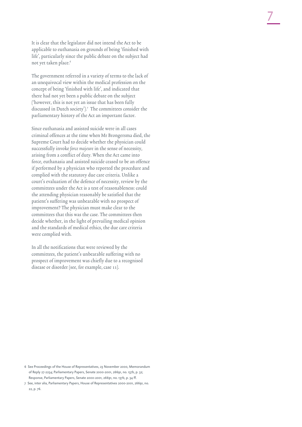It is clear that the legislator did not intend the Act to be applicable to euthanasia on grounds of being 'finished with life', particularly since the public debate on the subject had not yet taken place.<sup>6</sup>

The government referred in a variety of terms to the lack of an unequivocal view within the medical profession on the concept of being 'finished with life', and indicated that there had not yet been a public debate on the subject ('however, this is not yet an issue that has been fully discussed in Dutch society').7 The committees consider the parliamentary history of the Act an important factor.

Since euthanasia and assisted suicide were in all cases criminal offences at the time when Mr Brongersma died, the Supreme Court had to decide whether the physician could successfully invoke force majeure in the sense of necessity, arising from a conflict of duty. When the Act came into force, euthanasia and assisted suicide ceased to be an offence if performed by a physician who reported the procedure and complied with the statutory due care criteria. Unlike a court's evaluation of the defence of necessity, review by the committees under the Act is a test of reasonableness: could the attending physician reasonably be satisfied that the patient's suffering was unbearable with no prospect of improvement? The physician must make clear to the committees that this was the case. The committees then decide whether, in the light of prevailing medical opinion and the standards of medical ethics, the due care criteria were complied with.

In all the notifications that were reviewed by the committees, the patient's unbearable suffering with no prospect of improvement was chiefly due to a recognised disease or disorder (see, for example, case 11).

<sup>6</sup> See Proceedings of the House of Representatives, 23 November 2000, Memorandum of Reply 27-2254; Parliamentary Papers, Senate 2000-2001, 26691, no. 137b, p. 32; Response, Parliamentary Papers, Senate 2000-2001, 26691, no. 137b, p. 34 ff.

<sup>7</sup> See, inter alia, Parliamentary Papers, House of Representatives 2000-2001, 26691, no. 22, p. 76.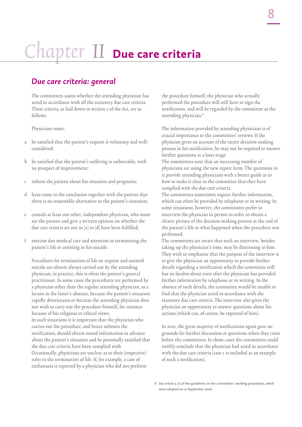# Chapter II **Due care criteria**

## *Due care criteria: general*

The committees assess whether the attending physician has acted in accordance with all the statutory due care criteria. These criteria, as laid down in section 2 of the Act, are as follows.

Physicians must:

- a be satisfied that the patient's request is voluntary and wellconsidered;
- b be satisfied that the patient's suffering is unbearable, with no prospect of improvement;
- c inform the patient about his situation and prognosis;
- d have come to the conclusion together with the patient that there is no reasonable alternative in the patient's situation;
- e consult at least one other, independent physician, who must see the patient and give a written opinion on whether the due care criteria set out in (a) to (d) have been fulfilled;
- f exercise due medical care and attention in terminating the patient's life or assisting in his suicide.

Procedures for termination of life on request and assisted suicide are almost always carried out by the attending physician; in practice, this is often the patient's general practitioner. In some cases the procedures are performed by a physician other than the regular attending physician, as a locum in the latter's absence, because the patient's situation rapidly deteriorates or because the attending physician does not wish to carry out the procedure himself, for instance because of his religious or ethical views. In such situations it is important that the physician who carries out the procedure, and hence submits the notification, should obtain sound information in advance about the patient's situation and be personally satisfied that the due care criteria have been complied with. Occasionally, physicians are unclear as to their (respective) roles in the termination of life. If, for example, a case of euthanasia is reported by a physician who did not perform

the procedure himself, the physician who actually performed the procedure will still have to sign the notification, and will be regarded by the committee as the attending physician.<sup>8</sup>

The information provided by attending physicians is of crucial importance to the committees' reviews. If the physician gives an account of the entire decision-making process in his notification, he may not be required to answer further questions at a later stage.

The committees note that an increasing number of physicians are using the new report form. The questions in it provide attending physicians with a better guide as to how to make it clear to the committee that they have complied with the due care criteria.

The committees sometimes require further information, which can often be provided by telephone or in writing. In some situations, however, the committees prefer to interview the physician in person in order to obtain a clearer picture of the decision-making process at the end of the patient's life or what happened when the procedure was performed.

The committees are aware that such an interview, besides taking up the physician's time, may be distressing to him. They wish to emphasise that the purpose of the interview is to give the physician an opportunity to provide further details regarding a notification which the committee still has its doubts about even after the physician has provided further information by telephone or in writing. In the absence of such details, the committee would be unable to find that the physician acted in accordance with the statutory due care criteria. The interview also gives the physician an opportunity to answer questions about his actions (which can, of course, be expected of him).

In 2010, the great majority of notifications again gave no grounds for further discussion or questions when they came before the committees. In those cases the committees could swiftly conclude that the physician had acted in accordance with the due care criteria (case 1 is included as an example of such a notification).

8 See article 3 (1) of the guidelines on the committees' working procedures, which were adopted on 21 September 2006.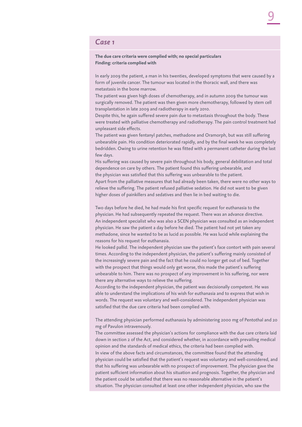## *Case 1*

#### **The due care criteria were complied with; no special particulars Finding: criteria complied with**

In early 2009 the patient, a man in his twenties, developed symptoms that were caused by a form of juvenile cancer. The tumour was located in the thoracic wall, and there was metastasis in the bone marrow.

The patient was given high doses of chemotherapy, and in autumn 2009 the tumour was surgically removed. The patient was then given more chemotherapy, followed by stem cell transplantation in late 2009 and radiotherapy in early 2010.

Despite this, he again suffered severe pain due to metastasis throughout the body. These were treated with palliative chemotherapy and radiotherapy. The pain control treatment had unpleasant side effects.

The patient was given fentanyl patches, methadone and Oramorph, but was still suffering unbearable pain. His condition deteriorated rapidly, and by the final week he was completely bedridden. Owing to urine retention he was fitted with a permanent catheter during the last few days.

His suffering was caused by severe pain throughout his body, general debilitation and total dependence on care by others. The patient found this suffering unbearable, and the physician was satisfied that this suffering was unbearable to the patient. Apart from the palliative measures that had already been taken, there were no other ways to relieve the suffering. The patient refused palliative sedation. He did not want to be given higher doses of painkillers and sedatives and then lie in bed waiting to die.

Two days before he died, he had made his first specific request for euthanasia to the physician. He had subsequently repeated the request. There was an advance directive. An independent specialist who was also a SCEN physician was consulted as an independent physician. He saw the patient a day before he died. The patient had not yet taken any methadone, since he wanted to be as lucid as possible. He was lucid while explaining the reasons for his request for euthanasia. 

He looked pallid. The independent physician saw the patient's face contort with pain several times. According to the independent physician, the patient's suffering mainly consisted of the increasingly severe pain and the fact that he could no longer get out of bed. Together with the prospect that things would only get worse, this made the patient's suffering unbearable to him. There was no prospect of any improvement in his suffering, nor were there any alternative ways to relieve the suffering.

According to the independent physician, the patient was decisionally competent. He was able to understand the implications of his wish for euthanasia and to express that wish in words. The request was voluntary and well-considered. The independent physician was satisfied that the due care criteria had been complied with.

The attending physician performed euthanasia by administering 2000 mg of Pentothal and 20 mg of Pavulon intravenously.

The committee assessed the physician's actions for compliance with the due care criteria laid down in section 2 of the Act, and considered whether, in accordance with prevailing medical opinion and the standards of medical ethics, the criteria had been complied with. In view of the above facts and circumstances, the committee found that the attending physician could be satisfied that the patient's request was voluntary and well-considered, and that his suffering was unbearable with no prospect of improvement. The physician gave the patient sufficient information about his situation and prognosis. Together, the physician and the patient could be satisfied that there was no reasonable alternative in the patient's situation. The physician consulted at least one other independent physician, who saw the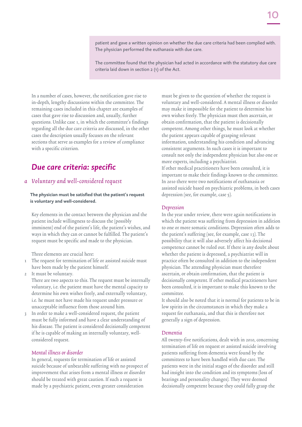patient and gave a written opinion on whether the due care criteria had been complied with. The physician performed the euthanasia with due care.

The committee found that the physician had acted in accordance with the statutory due care criteria laid down in section 2 (1) of the Act.

In a number of cases, however, the notification gave rise to in-depth, lengthy discussions within the committee. The remaining cases included in this chapter are examples of cases that gave rise to discussion and, usually, further questions. Unlike case 1, in which the committee's findings regarding all the due care criteria are discussed, in the other cases the description usually focuses on the relevant sections that serve as examples for a review of compliance with a specific criterion.

## *Due care criteria: specific*

### a Voluntary and well-considered request

#### **The physician must be satisfied that the patient's request is voluntary and well-considered.**

Key elements in the contact between the physician and the patient include willingness to discuss the (possibly imminent) end of the patient's life, the patient's wishes, and ways in which they can or cannot be fulfilled. The patient's request must be specific and made to the physician.

Three elements are crucial here:

- 1 The request for termination of life or assisted suicide must have been made by the patient himself.
- 2 It must be voluntary.
- There are two aspects to this. The request must be internally voluntary, i.e. the patient must have the mental capacity to determine his own wishes freely, and externally voluntary, i.e. he must not have made his request under pressure or unacceptable influence from those around him.
- 3 In order to make a well-considered request, the patient must be fully informed and have a clear understanding of his disease. The patient is considered decisionally competent if he is capable of making an internally voluntary, wellconsidered request.

### Mental illness or disorder

In general, requests for termination of life or assisted suicide because of unbearable suffering with no prospect of improvement that arises from a mental illness or disorder should be treated with great caution. If such a request is made by a psychiatric patient, even greater consideration

must be given to the question of whether the request is voluntary and well-considered. A mental illness or disorder may make it impossible for the patient to determine his own wishes freely. The physician must then ascertain, or obtain confirmation, that the patient is decisionally competent. Among other things, he must look at whether the patient appears capable of grasping relevant information, understanding his condition and advancing consistent arguments. In such cases it is important to consult not only the independent physician but also one or more experts, including a psychiatrist. If other medical practitioners have been consulted, it is

important to make their findings known to the committee. In 2010 there were two notifications of euthanasia or assisted suicide based on psychiatric problems, in both cases depression (see, for example, case 5).

#### Depression

In the year under review, there were again notifications in which the patient was suffering from depression in addition to one or more somatic conditions. Depression often adds to the patient's suffering (see, for example, case 13). The possibility that it will also adversely affect his decisional competence cannot be ruled out. If there is any doubt about whether the patient is depressed, a psychiatrist will in practice often be consulted in addition to the independent physician. The attending physician must therefore ascertain, or obtain confirmation, that the patient is decisionally competent. If other medical practitioners have been consulted, it is important to make this known to the committee.

It should also be noted that it is normal for patients to be in low spirits in the circumstances in which they make a request for euthanasia, and that this is therefore not generally a sign of depression.

#### Dementia

All twenty-five notifications, dealt with in 2010, concerning termination of life on request or assisted suicide involving patients suffering from dementia were found by the committees to have been handled with due care. The patients were in the initial stages of the disorder and still had insight into the condition and its symptoms (loss of bearings and personality changes). They were deemed decisionally competent because they could fully grasp the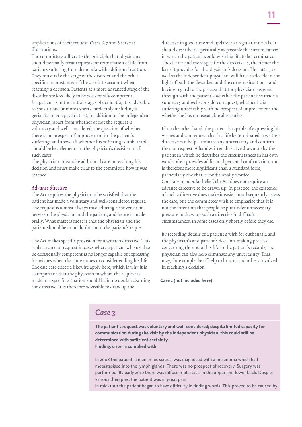implications of their request. Cases 6, 7 and 8 serve as illustrations.

The committees adhere to the principle that physicians should normally treat requests for termination of life from patients suffering from dementia with additional caution. They must take the stage of the disorder and the other specific circumstances of the case into account when reaching a decision. Patients at a more advanced stage of the disorder are less likely to be decisionally competent. If a patient is in the initial stages of dementia, it is advisable to consult one or more experts, preferably including a geriatrician or a psychiatrist, in addition to the independent physician. Apart from whether or not the request is voluntary and well-considered, the question of whether there is no prospect of improvement in the patient's suffering, and above all whether his suffering is unbearable, should be key elements in the physician's decision in all such cases.

The physician must take additional care in reaching his decision and must make clear to the committee how it was reached.

#### Advance directive

The Act requires the physician to be satisfied that the patient has made a voluntary and well-considered request. The request is almost always made during a conversation between the physician and the patient, and hence is made orally. What matters most is that the physician and the patient should be in no doubt about the patient's request.

The Act makes specific provision for a written directive. This replaces an oral request in cases where a patient who used to be decisionally competent is no longer capable of expressing his wishes when the time comes to consider ending his life. The due care criteria likewise apply here, which is why it is so important that the physician to whom the request is made in a specific situation should be in no doubt regarding the directive. It is therefore advisable to draw up the

directive in good time and update it at regular intervals. It should describe as specifically as possible the circumstances in which the patient would wish his life to be terminated. The clearer and more specific the directive is, the firmer the basis it provides for the physician's decision. The latter, as well as the independent physician, will have to decide in the light of both the described and the current situation – and having regard to the process that the physician has gone through with the patient – whether the patient has made a voluntary and well-considered request, whether he is suffering unbearably with no prospect of improvement and whether he has no reasonable alternative.

If, on the other hand, the patient is capable of expressing his wishes and can request that his life be terminated, a written directive can help eliminate any uncertainty and confirm the oral request. A handwritten directive drawn up by the patient in which he describes the circumstances in his own words often provides additional personal confirmation, and is therefore more significant than a standard form, particularly one that is conditionally worded. Contrary to popular belief, the Act does not require an advance directive to be drawn up. In practice, the existence of such a directive does make it easier to subsequently assess the case, but the committees wish to emphasise that it is not the intention that people be put under unnecessary pressure to draw up such a directive in difficult circumstances, in some cases only shortly before they die.

By recording details of a patient's wish for euthanasia and the physician's and patient's decision-making process concerning the end of his life in the patient's records, the physician can also help eliminate any uncertainty. This may, for example, be of help to locums and others involved in reaching a decision.

**Case 2 (not included here)**

## *Case 3*

**The patient's request was voluntary and well-considered; despite limited capacity for communication during the visit by the independent physician, this could still be determined with sufficient certainty Finding: criteria complied with**

In 2008 the patient, a man in his sixties, was diagnosed with a melanoma which had metastasised into the lymph glands. There was no prospect of recovery. Surgery was performed. By early 2010 there was diffuse metastasis in the upper and lower back. Despite various therapies, the patient was in great pain.

In mid-2010 the patient began to have difficulty in finding words. This proved to be caused by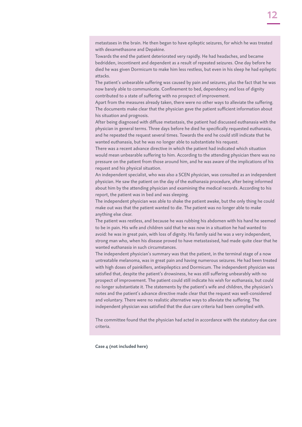metastases in the brain. He then began to have epileptic seizures, for which he was treated with dexamethasone and Depakine.

Towards the end the patient deteriorated very rapidly. He had headaches, and became bedridden, incontinent and dependent as a result of repeated seizures. One day before he died he was given Dormicum to make him less restless, but even in his sleep he had epileptic attacks.

The patient's unbearable suffering was caused by pain and seizures, plus the fact that he was now barely able to communicate. Confinement to bed, dependency and loss of dignity contributed to a state of suffering with no prospect of improvement.

Apart from the measures already taken, there were no other ways to alleviate the suffering. The documents make clear that the physician gave the patient sufficient information about his situation and prognosis.

After being diagnosed with diffuse metastasis, the patient had discussed euthanasia with the physician in general terms. Three days before he died he specifically requested euthanasia, and he repeated the request several times. Towards the end he could still indicate that he wanted euthanasia, but he was no longer able to substantiate his request.

There was a recent advance directive in which the patient had indicated which situation would mean unbearable suffering to him. According to the attending physician there was no pressure on the patient from those around him, and he was aware of the implications of his request and his physical situation.

An independent specialist, who was also a SCEN physician, was consulted as an independent physician. He saw the patient on the day of the euthanasia procedure, after being informed about him by the attending physician and examining the medical records. According to his report, the patient was in bed and was sleeping.

The independent physician was able to shake the patient awake, but the only thing he could make out was that the patient wanted to die. The patient was no longer able to make anything else clear.

The patient was restless, and because he was rubbing his abdomen with his hand he seemed to be in pain. His wife and children said that he was now in a situation he had wanted to avoid: he was in great pain, with loss of dignity. His family said he was a very independent, strong man who, when his disease proved to have metastasised, had made quite clear that he wanted euthanasia in such circumstances.

The independent physician's summary was that the patient, in the terminal stage of a now untreatable melanoma, was in great pain and having numerous seizures. He had been treated with high doses of painkillers, antiepileptics and Dormicum. The independent physician was satisfied that, despite the patient's drowsiness, he was still suffering unbearably with no prospect of improvement. The patient could still indicate his wish for euthanasia, but could no longer substantiate it. The statements by the patient's wife and children, the physician's notes and the patient's advance directive made clear that the request was well-considered and voluntary. There were no realistic alternative ways to alleviate the suffering. The independent physician was satisfied that the due care criteria had been complied with.

The committee found that the physician had acted in accordance with the statutory due care criteria.

**Case 4 (not included here)**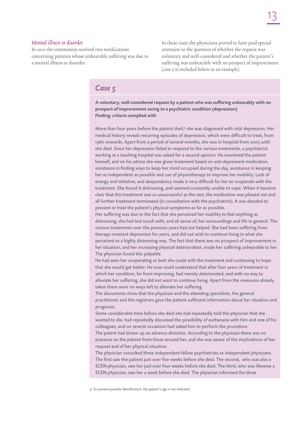#### Mental illness or disorder

In 2010 the committees received two notifications concerning patients whose unbearable suffering was due to a mental illness or disorder.

In these cases the physicians proved to have paid special attention to the question of whether the request was voluntary and well-considered and whether the patient's suffering was unbearable with no prospect of improvement (case 5 is included below as an example).

## *Case 5*

**A voluntary, well-considered request by a patient who was suffering unbearably with no prospect of improvement owing to a psychiatric condition (depression) Finding: criteria complied with**

More than four years before the patient died, $9$  she was diagnosed with vital depression. Her medical history reveals recurring episodes of depression, which were difficult to treat, from 1980 onwards. Apart from a period of several months, she was in hospital from 2005 until she died. Since her depression failed to respond to the various treatments, a psychiatrist working at a teaching hospital was asked for a second opinion. He examined the patient himself, and on his advice she was given treatment based on anti-depressant medication, assistance in finding ways to keep her mind occupied during the day, assistance in keeping her as independent as possible and use of physiotherapy to improve her mobility. Lack of energy and initiative, and despondency made it very difficult for her to cooperate with the treatment. She found it distressing, and seemed constantly unable to cope. When it became clear that this treatment was as unsuccessful as the rest, the medication was phased out and all further treatment terminated (in consultation with the psychiatrist). It was decided to prevent or treat the patient's physical symptoms as far as possible.

Her suffering was due to the fact that she perceived her inability to feel anything as distressing; she had lost touch with, and all sense of, her surroundings and life in general. The various treatments over the previous years had not helped. She had been suffering from therapy-resistant depression for years, and did not wish to continue living in what she perceived as a highly distressing way. The fact that there was no prospect of improvement in her situation, and her increasing physical deterioration, made her suffering unbearable to her. The physician found this palpable.

He had seen her cooperating as best she could with the treatment and continuing to hope that she would get better. He now could understand that after four years of treatment in which her condition, far from improving, had merely deteriorated, and with no way to alleviate her suffering, she did not want to continue living. Apart from the measures already taken there were no ways left to alleviate her suffering.

The documents show that the physician and the attending specialists, the general practitioner and the registrars gave the patient sufficient information about her situation and prognosis.

Some considerable time before she died she had repeatedly told the physician that she wanted to die, had repeatedly discussed the possibility of euthanasia with him and one of his colleagues, and on several occasions had asked him to perform the procedure.

The patent had drawn up an advance directive. According to the physician there was no pressure on the patient from those around her, and she was aware of the implications of her request and of her physical situation.

The physician consulted three independent fellow psychiatrists as independent physicians. The first saw the patient just over five weeks before she died. The second, who was also a SCEN physician, saw her just over four weeks before she died. The third, who was likewise a SCEN physician, saw her a week before she died. The physician informed the three

9 To prevent possible identification, the patient's age is not indicated.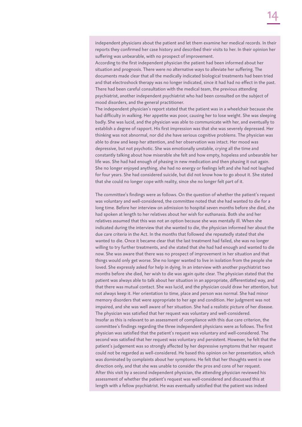independent physicians about the patient and let them examine her medical records. In their reports they confirmed her case history and described their visits to her. In their opinion her suffering was unbearable, with no prospect of improvement.

According to the first independent physician the patient had been informed about her situation and prognosis. There were no alternative ways to alleviate her suffering. The documents made clear that all the medically indicated biological treatments had been tried and that electroshock therapy was no longer indicated, since it had had no effect in the past. There had been careful consultation with the medical team, the previous attending psychiatrist, another independent psychiatrist who had been consulted on the subject of mood disorders, and the general practitioner.

The independent physician's report stated that the patient was in a wheelchair because she had difficulty in walking. Her appetite was poor, causing her to lose weight. She was sleeping badly. She was lucid, and the physician was able to communicate with her, and eventually to establish a degree of rapport. His first impression was that she was severely depressed. Her thinking was not abnormal, nor did she have serious cognitive problems. The physician was able to draw and keep her attention, and her observation was intact. Her mood was depressive, but not psychotic. She was emotionally unstable, crying all the time and constantly talking about how miserable she felt and how empty, hopeless and unbearable her life was. She had had enough of phasing in new medication and then phasing it out again. She no longer enjoyed anything, she had no energy or feelings left and she had not laughed for four years. She had considered suicide, but did not know how to go about it. She stated that she could no longer cope with reality, since she no longer felt part of it.

The committee's findings were as follows. On the question of whether the patient's request was voluntary and well-considered, the committee noted that she had wanted to die for a long time. Before her interview on admission to hospital seven months before she died, she had spoken at length to her relatives about her wish for euthanasia. Both she and her relatives assumed that this was not an option because she was mentally ill. When she indicated during the interview that she wanted to die, the physician informed her about the due care criteria in the Act. In the months that followed she repeatedly stated that she wanted to die. Once it became clear that the last treatment had failed, she was no longer willing to try further treatments, and she stated that she had had enough and wanted to die now. She was aware that there was no prospect of improvement in her situation and that things would only get worse. She no longer wanted to live in isolation from the people she loved. She expressly asked for help in dying. In an interview with another psychiatrist two months before she died, her wish to die was again quite clear. The physician stated that the patient was always able to talk about her situation in an appropriate, differentiated way, and that there was mutual contact. She was lucid, and the physician could draw her attention, but not always keep it. Her orientation to time, place and person was normal. She had minor memory disorders that were appropriate to her age and condition. Her judgment was not impaired, and she was well aware of her situation. She had a realistic picture of her disease. The physician was satisfied that her request was voluntary and well-considered. Insofar as this is relevant to an assessment of compliance with this due care criterion, the committee's findings regarding the three independent physicians were as follows. The first physician was satisfied that the patient's request was voluntary and well-considered. The second was satisfied that her request was voluntary and persistent. However, he felt that the patient's judgement was so strongly affected by her depressive symptoms that her request could not be regarded as well-considered. He based this opinion on her presentation, which was dominated by complaints about her symptoms. He felt that her thoughts went in one direction only, and that she was unable to consider the pros and cons of her request. After this visit by a second independent physician, the attending physician reviewed his assessment of whether the patient's request was well-considered and discussed this at length with a fellow psychiatrist. He was eventually satisfied that the patient was indeed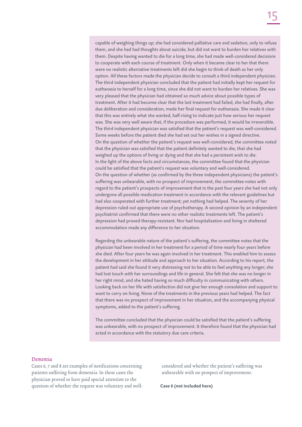capable of weighing things up; she had considered palliative care and sedation, only to refuse them, and she had had thoughts about suicide, but did not want to burden her relatives with them. Despite having wanted to die for a long time, she had made well-considered decisions to cooperate with each course of treatment. Only when it became clear to her that there were no realistic alternative treatments left did she begin to think of death as her only option. All these factors made the physician decide to consult a third independent physician. The third independent physician concluded that the patient had initially kept her request for euthanasia to herself for a long time, since she did not want to burden her relatives. She was very pleased that the physician had obtained so much advice about possible types of treatment. After it had become clear that the last treatment had failed, she had finally, after due deliberation and consideration, made her final request for euthanasia. She made it clear that this was entirely what she wanted, half-rising to indicate just how serious her request was. She was very well aware that, if the procedure was performed, it would be irreversible. The third independent physician was satisfied that the patient's request was well-considered. Some weeks before the patient died she had set out her wishes in a signed directive. On the question of whether the patient's request was well-considered, the committee noted that the physician was satisfied that the patient definitely wanted to die, that she had weighed up the options of living or dying and that she had a persistent wish to die. In the light of the above facts and circumstances, the committee found that the physician could be satisfied that the patient's request was voluntary and well-considered. On the question of whether (as confirmed by the three independent physicians) the patient's suffering was unbearable, with no prospect of improvement, the committee notes with regard to the patient's prospects of improvement that in the past four years she had not only undergone all possible medication treatment in accordance with the relevant guidelines but had also cooperated with further treatment; yet nothing had helped. The severity of her depression ruled out appropriate use of psychotherapy. A second opinion by an independent psychiatrist confirmed that there were no other realistic treatments left. The patient's depression had proved therapy-resistant. Nor had hospitalisation and living in sheltered accommodation made any difference to her situation.

Regarding the unbearable nature of the patient's suffering, the committee notes that the physician had been involved in her treatment for a period of time nearly four years before she died. After four years he was again involved in her treatment. This enabled him to assess the development in her attitude and approach to her situation. According to his report, the patient had said she found it very distressing not to be able to feel anything any longer; she had lost touch with her surroundings and life in general. She felt that she was no longer in her right mind, and she hated having so much difficulty in communicating with others. Looking back on her life with satisfaction did not give her enough consolation and support to want to carry on living. None of the treatments in the previous years had helped. The fact that there was no prospect of improvement in her situation, and the accompanying physical symptoms, added to the patient's suffering.

The committee concluded that the physician could be satisfied that the patient's suffering was unbearable, with no prospect of improvement. It therefore found that the physician had acted in accordance with the statutory due care criteria.

#### Dementia

Cases 6, 7 and 8 are examples of notifications concerning patients suffering from dementia. In these cases the physician proved to have paid special attention to the question of whether the request was voluntary and wellconsidered and whether the patient's suffering was unbearable with no prospect of improvement.

**Case 6 (not included here)**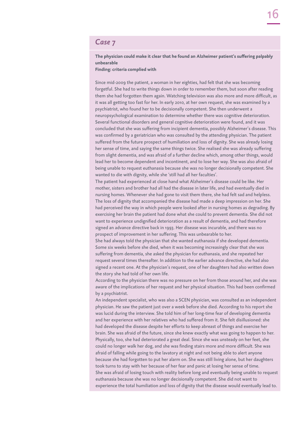## *Case 7*

#### **The physician could make it clear that he found an Alzheimer patient's suffering palpably unbearable**

#### **Finding: criteria complied with**

Since mid-2009 the patient, a woman in her eighties, had felt that she was becoming forgetful. She had to write things down in order to remember them, but soon after reading them she had forgotten them again. Watching television was also more and more difficult, as it was all getting too fast for her. In early 2010, at her own request, she was examined by a psychiatrist, who found her to be decisionally competent. She then underwent a neuropsychological examination to determine whether there was cognitive deterioration. Several functional disorders and general cognitive deterioration were found, and it was concluded that she was suffering from incipient dementia, possibly Alzheimer's disease. This was confirmed by a geriatrician who was consulted by the attending physician. The patient suffered from the future prospect of humiliation and loss of dignity. She was already losing her sense of time, and saying the same things twice. She realised she was already suffering from slight dementia, and was afraid of a further decline which, among other things, would lead her to become dependent and incontinent, and to lose her way. She was also afraid of being unable to request euthanasia because she was no longer decisionally competent. She wanted to die with dignity, while she 'still had all her faculties'.

The patient had experienced at close hand what Alzheimer's disease could be like. Her mother, sisters and brother had all had the disease in later life, and had eventually died in nursing homes. Whenever she had gone to visit them there, she had felt sad and helpless. The loss of dignity that accompanied the disease had made a deep impression on her. She had perceived the way in which people were looked after in nursing homes as degrading. By exercising her brain the patient had done what she could to prevent dementia. She did not want to experience undignified deterioration as a result of dementia, and had therefore signed an advance directive back in 1993. Her disease was incurable, and there was no prospect of improvement in her suffering. This was unbearable to her.

She had always told the physician that she wanted euthanasia if she developed dementia. Some six weeks before she died, when it was becoming increasingly clear that she was suffering from dementia, she asked the physician for euthanasia, and she repeated her request several times thereafter. In addition to the earlier advance directive, she had also signed a recent one. At the physician's request, one of her daughters had also written down the story she had told of her own life.

According to the physician there was no pressure on her from those around her, and she was aware of the implications of her request and her physical situation. This had been confirmed by a psychiatrist.

An independent specialist, who was also a SCEN physician, was consulted as an independent physician. He saw the patient just over a week before she died. According to his report she was lucid during the interview. She told him of her long-time fear of developing dementia and her experience with her relatives who had suffered from it. She felt disillusioned: she had developed the disease despite her efforts to keep abreast of things and exercise her brain. She was afraid of the future, since she knew exactly what was going to happen to her. Physically, too, she had deteriorated a great deal. Since she was unsteady on her feet, she could no longer walk her dog, and she was finding stairs more and more difficult. She was afraid of falling while going to the lavatory at night and not being able to alert anyone because she had forgotten to put her alarm on. She was still living alone, but her daughters took turns to stay with her because of her fear and panic at losing her sense of time. She was afraid of losing touch with reality before long and eventually being unable to request euthanasia because she was no longer decisionally competent. She did not want to experience the total humiliation and loss of dignity that the disease would eventually lead to.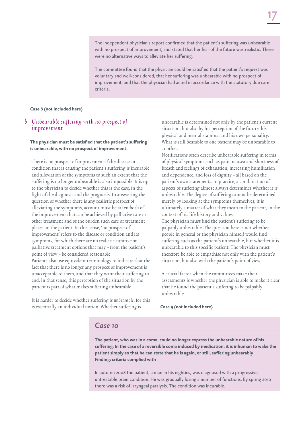The independent physician's report confirmed that the patient's suffering was unbearable with no prospect of improvement, and stated that her fear of the future was realistic. There were no alternative ways to alleviate her suffering.

The committee found that the physician could be satisfied that the patient's request was voluntary and well-considered, that her suffering was unbearable with no prospect of improvement, and that the physician had acted in accordance with the statutory due care criteria.

**Case 8 (not included here)**

### b Unbearable suffering with no prospect of improvement

#### **The physician must be satisfied that the patient's suffering is unbearable, with no prospect of improvement.**

There is no prospect of improvement if the disease or condition that is causing the patient's suffering is incurable and alleviation of the symptoms to such an extent that the suffering is no longer unbearable is also impossible. It is up to the physician to decide whether this is the case, in the light of the diagnosis and the prognosis. In answering the question of whether there is any realistic prospect of alleviating the symptoms, account must be taken both of the improvement that can be achieved by palliative care or other treatment and of the burden such care or treatment places on the patient. In this sense, 'no prospect of improvement' refers to the disease or condition and its symptoms, for which there are no realistic curative or palliative treatment options that may – from the patient's point of view – be considered reasonable. Patients also use equivalent terminology to indicate that the fact that there is no longer any prospect of improvement is unacceptable to them, and that they want their suffering to end. In that sense, this perception of the situation by the patient is part of what makes suffering unbearable.

It is harder to decide whether suffering is unbearable, for this is essentially an individual notion. Whether suffering is

unbearable is determined not only by the patient's current situation, but also by his perception of the future, his physical and mental stamina, and his own personality. What is still bearable to one patient may be unbearable to another.

Notifications often describe unbearable suffering in terms of physical symptoms such as pain, nausea and shortness of breath and feelings of exhaustion, increasing humiliation and dependence, and loss of dignity – all based on the patient's own statements. In practice, a combination of aspects of suffering almost always determines whether it is unbearable. The degree of suffering cannot be determined merely by looking at the symptoms themselves; it is ultimately a matter of what they mean to the patient, in the context of his life history and values.

The physician must find the patient's suffering to be palpably unbearable. The question here is not whether people in general or the physician himself would find suffering such as the patient's unbearable, but whether it is unbearable to this specific patient. The physician must therefore be able to empathise not only with the patient's situation, but also with the patient's point of view.

A crucial factor when the committees make their assessments is whether the physician is able to make it clear that he found the patient's suffering to be palpably unbearable.

**Case 9 (not included here)**

#### *Case 10*

**The patient, who was in a coma, could no longer express the unbearable nature of his suffering. In the case of a reversible coma induced by medication, it is inhuman to wake the patient simply so that he can state that he is again, or still, suffering unbearably Finding: criteria complied with**

In autumn 2008 the patient, a man in his eighties, was diagnosed with a progressive, untreatable brain condition. He was gradually losing a number of functions. By spring 2010 there was a risk of laryngeal paralysis. The condition was incurable.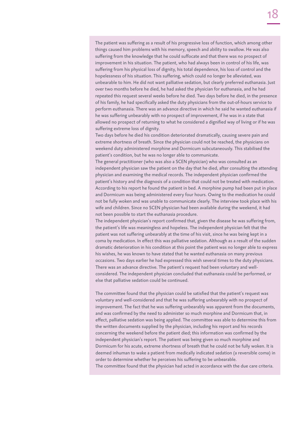The patient was suffering as a result of his progressive loss of function, which among other things caused him problems with his memory, speech and ability to swallow. He was also suffering from the knowledge that he could suffocate and that there was no prospect of improvement in his situation. The patient, who had always been in control of his life, was suffering from his physical loss of dignity, his total dependence, his loss of control and the hopelessness of his situation. This suffering, which could no longer be alleviated, was unbearable to him. He did not want palliative sedation, but clearly preferred euthanasia. Just over two months before he died, he had asked the physician for euthanasia, and he had repeated this request several weeks before he died. Two days before he died, in the presence of his family, he had specifically asked the duty physicians from the out-of-hours service to perform euthanasia. There was an advance directive in which he said he wanted euthanasia if he was suffering unbearably with no prospect of improvement, if he was in a state that allowed no prospect of returning to what he considered a dignified way of living or if he was suffering extreme loss of dignity.

18

Two days before he died his condition deteriorated dramatically, causing severe pain and extreme shortness of breath. Since the physician could not be reached, the physicians on weekend duty administered morphine and Dormicum subcutaneously. This stabilised the patient's condition, but he was no longer able to communicate.

The general practitioner (who was also a SCEN physician) who was consulted as an independent physician saw the patient on the day that he died, after consulting the attending physician and examining the medical records. The independent physician confirmed the patient's history and the diagnosis of a condition that could not be treated with medication. According to his report he found the patient in bed. A morphine pump had been put in place and Dormicum was being administered every four hours. Owing to the medication he could not be fully woken and was unable to communicate clearly. The interview took place with his wife and children. Since no SCEN physician had been available during the weekend, it had not been possible to start the euthanasia procedure.

The independent physician's report confirmed that, given the disease he was suffering from, the patient's life was meaningless and hopeless. The independent physician felt that the patient was not suffering unbearably at the time of his visit, since he was being kept in a coma by medication. In effect this was palliative sedation. Although as a result of the sudden dramatic deterioration in his condition at this point the patient was no longer able to express his wishes, he was known to have stated that he wanted euthanasia on many previous occasions. Two days earlier he had expressed this wish several times to the duty physicians. There was an advance directive. The patient's request had been voluntary and wellconsidered. The independent physician concluded that euthanasia could be performed, or else that palliative sedation could be continued.

The committee found that the physician could be satisfied that the patient's request was voluntary and well-considered and that he was suffering unbearably with no prospect of improvement. The fact that he was suffering unbearably was apparent from the documents, and was confirmed by the need to administer so much morphine and Dormicum that, in effect, palliative sedation was being applied. The committee was able to determine this from the written documents supplied by the physician, including his report and his records concerning the weekend before the patient died; this information was confirmed by the independent physician's report. The patient was being given so much morphine and Dormicum for his acute, extreme shortness of breath that he could not be fully woken. It is deemed inhuman to wake a patient from medically indicated sedation (a reversible coma) in order to determine whether he perceives his suffering to be unbearable. The committee found that the physician had acted in accordance with the due care criteria.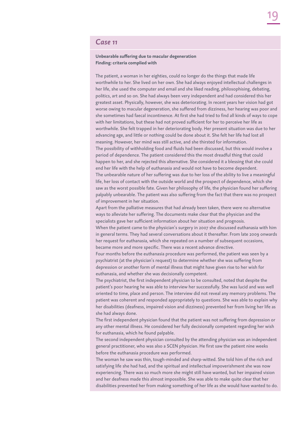## *Case 11*

#### **Unbearable suffering due to macular degeneration Finding: criteria complied with**

The patient, a woman in her eighties, could no longer do the things that made life worthwhile to her. She lived on her own. She had always enjoyed intellectual challenges in her life, she used the computer and email and she liked reading, philosophising, debating, politics, art and so on. She had always been very independent and had considered this her greatest asset. Physically, however, she was deteriorating. In recent years her vision had got worse owing to macular degeneration, she suffered from dizziness, her hearing was poor and she sometimes had faecal incontinence. At first she had tried to find all kinds of ways to cope with her limitations, but these had not proved sufficient for her to perceive her life as worthwhile. She felt trapped in her deteriorating body. Her present situation was due to her advancing age, and little or nothing could be done about it. She felt her life had lost all meaning. However, her mind was still active, and she thirsted for information. The possibility of withholding food and fluids had been discussed, but this would involve a period of dependence. The patient considered this the most dreadful thing that could happen to her, and she rejected this alternative. She considered it a blessing that she could end her life with the help of euthanasia and would not have to become dependent. The unbearable nature of her suffering was due to her loss of the ability to live a meaningful life, her loss of contact with the outside world and the prospect of dependence, which she saw as the worst possible fate. Given her philosophy of life, the physician found her suffering palpably unbearable. The patient was also suffering from the fact that there was no prospect of improvement in her situation.

Apart from the palliative measures that had already been taken, there were no alternative ways to alleviate her suffering. The documents make clear that the physician and the specialists gave her sufficient information about her situation and prognosis.

When the patient came to the physician's surgery in 2007 she discussed euthanasia with him in general terms. They had several conversations about it thereafter. From late 2009 onwards her request for euthanasia, which she repeated on a number of subsequent occasions, became more and more specific. There was a recent advance directive.

Four months before the euthanasia procedure was performed, the patient was seen by a psychiatrist (at the physician's request) to determine whether she was suffering from depression or another form of mental illness that might have given rise to her wish for euthanasia, and whether she was decisionally competent.

The psychiatrist, the first independent physician to be consulted, noted that despite the patient's poor hearing he was able to interview her successfully. She was lucid and was well oriented to time, place and person. The interview did not reveal any memory problems. The patient was coherent and responded appropriately to questions. She was able to explain why her disabilities (deafness, impaired vision and dizziness) prevented her from living her life as she had always done.

The first independent physician found that the patient was not suffering from depression or any other mental illness. He considered her fully decisionally competent regarding her wish for euthanasia, which he found palpable.

The second independent physician consulted by the attending physician was an independent general practitioner, who was also a SCEN physician. He first saw the patient nine weeks before the euthanasia procedure was performed.

The woman he saw was thin, tough-minded and sharp-witted. She told him of the rich and satisfying life she had had, and the spiritual and intellectual impoverishment she was now experiencing. There was so much more she might still have wanted, but her impaired vision and her deafness made this almost impossible. She was able to make quite clear that her disabilities prevented her from making something of her life as she would have wanted to do.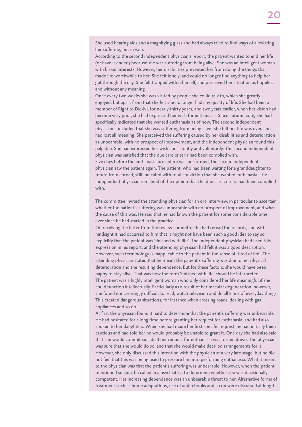She used hearing aids and a magnifying glass and had always tried to find ways of alleviating her suffering, but in vain.

According to the second independent physician's report, the patient wanted to end her life (or have it ended) because she was suffering from being alive. She was an intelligent woman with broad interests. However, her disabilities prevented her from doing the things that made life worthwhile to her. She felt lonely, and could no longer find anything to help her get through the day. She felt trapped within herself, and perceived her situation as hopeless and without any meaning.

Once every two weeks she was visited by people she could talk to, which she greatly enjoyed, but apart from that she felt she no longer had any quality of life. She had been a member of Right to Die-NL for nearly thirty years, and two years earlier, when her vision had become very poor, she had expressed her wish for euthanasia. Since autumn 2009 she had specifically indicated that she wanted euthanasia as of now. The second independent physician concluded that she was suffering from being alive. She felt her life was over, and had lost all meaning. She perceived the suffering caused by her disabilities and deterioration as unbearable, with no prospect of improvement, and the independent physician found this palpable. She had expressed her wish consistently and voluntarily. The second independent physician was satisfied that the due care criteria had been complied with. Five days before the euthanasia procedure was performed, the second independent physician saw the patient again. The patient, who had been waiting for a granddaughter to return from abroad, still indicated with total conviction that she wanted euthanasia. The independent physician remained of the opinion that the due care criteria had been complied

with.

The committee invited the attending physician for an oral interview, in particular to ascertain whether the patient's suffering was unbearable with no prospect of improvement, and what the cause of this was. He said that he had known the patient for some considerable time, ever since he had started in the practice.

On receiving the letter from the review committee he had reread the records, and with hindsight it had occurred to him that it might not have been such a good idea to say so explicitly that the patient was 'finished with life'. The independent physician had used this expression in his report, and the attending physician had felt it was a good description. However, such terminology is inapplicable to the patient in the sense of 'tired of life'. The attending physician stated that he meant the patient's suffering was due to her physical deterioration and the resulting dependence. But for these factors, she would have been happy to stay alive. That was how the term 'finished with life' should be interpreted. The patient was a highly intelligent woman who only considered her life meaningful if she could function intellectually. Particularly as a result of her macular degeneration, however, she found it increasingly difficult to read, watch television and do all kinds of everyday things. This created dangerous situations, for instance when crossing roads, dealing with gas appliances and so on.

At first the physician found it hard to determine that the patient's suffering was unbearable. He had hesitated for a long time before granting her request for euthanasia, and had also spoken to her daughters. When she had made her first specific request, he had initially been cautious and had told her he would probably be unable to grant it. One day she had also said that she would commit suicide if her request for euthanasia was turned down. The physician was sure that she would do so, and that she would make detailed arrangements for it. However, she only discussed this intention with the physician at a very late stage, but he did not feel that this was being used to pressure him into performing euthanasia. What it meant to the physician was that the patient's suffering was unbearable. However, when the patient mentioned suicide, he called in a psychiatrist to determine whether she was decisionally competent. Her increasing dependence was an unbearable threat to her. Alternative forms of treatment such as home adaptations, use of audio books and so on were discussed at length.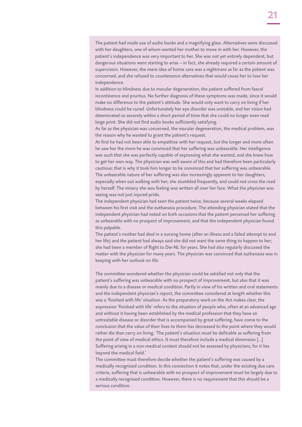The patient had made use of audio books and a magnifying glass. Alternatives were discussed with her daughters, one of whom wanted her mother to move in with her. However, the patient's independence was very important to her. She was not yet entirely dependent, but dangerous situations were starting to arise – in fact, she already required a certain amount of supervision. However, the mere idea of home care was a nightmare as far as the patient was concerned, and she refused to countenance alternatives that would cause her to lose her independence.

In addition to blindness due to macular degeneration, the patient suffered from faecal incontinence and pruritus. No further diagnosis of these symptoms was made, since it would make no difference to the patient's attitude. She would only want to carry on living if her blindness could be cured. Unfortunately her eye disorder was unstable, and her vision had deteriorated so severely within a short period of time that she could no longer even read large print. She did not find audio books sufficiently satisfying.

As far as the physician was concerned, the macular degeneration, the medical problem, was the reason why he wanted to grant the patient's request.

At first he had not been able to empathise with her request, but the longer and more often he saw her the more he was convinced that her suffering was unbearable. Her intelligence was such that she was perfectly capable of expressing what she wanted, and she knew how to get her own way. The physician was well aware of this and had therefore been particularly cautious; that is why it took him longer to be convinced that her suffering was unbearable. The unbearable nature of her suffering was also increasingly apparent to her daughters, especially when out walking with her; she stumbled frequently, and could not cross the road by herself. The misery she was feeling was written all over her face. What the physician was seeing was not just injured pride.

The independent physician had seen the patient twice, because several weeks elapsed between his first visit and the euthanasia procedure. The attending physician stated that the independent physician had noted on both occasions that the patient perceived her suffering as unbearable with no prospect of improvement, and that the independent physician found this palpable.

The patient's mother had died in a nursing home (after an illness and a failed attempt to end her life) and the patient had always said she did not want the same thing to happen to her; she had been a member of Right to Die-NL for years. She had also regularly discussed the matter with the physician for many years. The physician was convinced that euthanasia was in keeping with her outlook on life.

The committee wondered whether the physician could be satisfied not only that the patient's suffering was unbearable with no prospect of improvement, but also that it was mainly due to a disease or medical condition. Partly in view of his written and oral statements and the independent physician's report, the committee considered at length whether this was a 'finished with life' situation. As the preparatory work on the Act makes clear, the expression 'finished with life' refers to the situation of people who, often at an advanced age and without it having been established by the medical profession that they have an untreatable disease or disorder that is accompanied by great suffering, have come to the conclusion that the value of their lives to them has decreased to the point where they would rather die than carry on living. 'The patient's situation must be definable as suffering from the point of view of medical ethics. It must therefore include a medical dimension [...] Suffering arising in a non-medical context should not be assessed by physicians, for it lies beyond the medical field.'

The committee must therefore decide whether the patient's suffering was caused by a medically recognised condition. In this connection it notes that, under the existing due care criteria, suffering that is unbearable with no prospect of improvement must be largely due to a medically recognised condition. However, there is no requirement that this should be a serious condition.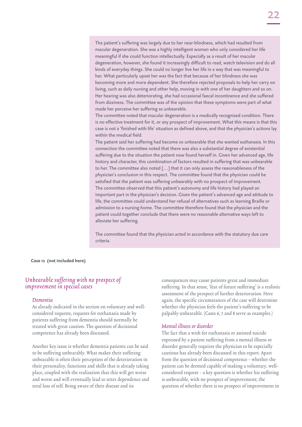The patient's suffering was largely due to her near-blindness, which had resulted from macular degeneration. She was a highly intelligent woman who only considered her life meaningful if she could function intellectually. Especially as a result of her macular degeneration, however, she found it increasingly difficult to read, watch television and do all kinds of everyday things. She could no longer live her life in a way that was meaningful to her. What particularly upset her was the fact that because of her blindness she was becoming more and more dependent. She therefore rejected proposals to help her carry on living, such as daily nursing and other help, moving in with one of her daughters and so on. Her hearing was also deteriorating, she had occasional faecal incontinence and she suffered from dizziness. The committee was of the opinion that these symptoms were part of what made her perceive her suffering as unbearable.

The committee noted that macular degeneration is a medically recognised condition. There is no effective treatment for it, or any prospect of improvement. What this means is that this case is not a 'finished with life' situation as defined above, and that the physician's actions lay within the medical field.

The patient said her suffering had become so unbearable that she wanted euthanasia. In this connection the committee noted that there was also a substantial degree of existential suffering due to the situation the patient now found herself in. Given her advanced age, life history and character, this combination of factors resulted in suffering that was unbearable to her. The committee also noted […] that it can only assess the reasonableness of the physician's conclusion in this respect. The committee found that the physician could be satisfied that the patient was suffering unbearably with no prospect of improvement. The committee observed that this patient's autonomy and life history had played an important part in the physician's decision. Given the patient's advanced age and attitude to life, the committee could understand her refusal of alternatives such as learning Braille or admission to a nursing home. The committee therefore found that the physician and the patient could together conclude that there were no reasonable alternative ways left to alleviate her suffering.

The committee found that the physician acted in accordance with the statutory due care criteria.

#### **Case 12 (not included here)**

#### Unbearable suffering with no prospect of improvement in special cases

#### Dementia

As already indicated in the section on voluntary and wellconsidered requests, requests for euthanasia made by patients suffering from dementia should normally be treated with great caution. The question of decisional competence has already been discussed.

Another key issue is whether dementia patients can be said to be suffering unbearably. What makes their suffering unbearable is often their perception of the deterioration in their personality, functions and skills that is already taking place, coupled with the realisation that this will get worse and worse and will eventually lead to utter dependence and total loss of self. Being aware of their disease and its

consequences may cause patients great and immediate suffering. In that sense, 'fear of future suffering' is a realistic assessment of the prospect of further deterioration. Here again, the specific circumstances of the case will determine whether the physician feels the patient's suffering to be palpably unbearable. (Cases 6, 7 and 8 serve as examples.)

#### Mental illness or disorder

The fact that a wish for euthanasia or assisted suicide expressed by a patient suffering from a mental illness or disorder generally requires the physician to be especially cautious has already been discussed in this report. Apart from the question of decisional competence – whether the patient can be deemed capable of making a voluntary, wellconsidered request – a key question is whether his suffering is unbearable, with no prospect of improvement; the question of whether there is no prospect of improvement in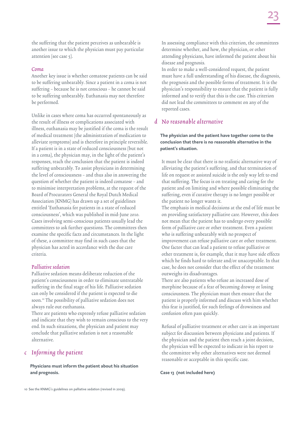the suffering that the patient perceives as unbearable is another issue to which the physician must pay particular attention (see case 5).

#### Coma

Another key issue is whether comatose patients can be said to be suffering unbearably. Since a patient in a coma is not suffering – because he is not conscious – he cannot be said to be suffering unbearably. Euthanasia may not therefore be performed.

Unlike in cases where coma has occurred spontaneously as the result of illness or complications associated with illness, euthanasia may be justified if the coma is the result of medical treatment (the administration of medication to alleviate symptoms) and is therefore in principle reversible. If a patient is in a state of reduced consciousness (but not in a coma), the physician may, in the light of the patient's responses, reach the conclusion that the patient is indeed suffering unbearably. To assist physicians in determining the level of consciousness – and thus also in answering the question of whether the patient is indeed comatose – and to minimise interpretation problems, at the request of the Board of Procurators General the Royal Dutch Medical Association (KNMG) has drawn up a set of guidelines entitled 'Euthanasia for patients in a state of reduced consciousness', which was published in mid-June 2010. Cases involving semi-conscious patients usually lead the committees to ask further questions. The committees then examine the specific facts and circumstances. In the light of these, a committee may find in such cases that the physician has acted in accordance with the due care criteria.

#### Palliative sedation

Palliative sedation means deliberate reduction of the patient's consciousness in order to eliminate untreatable suffering in the final stage of his life. Palliative sedation can only be considered if the patient is expected to die soon.10 The possibility of palliative sedation does not always rule out euthanasia.

There are patients who expressly refuse palliative sedation and indicate that they wish to remain conscious to the very end. In such situations, the physician and patient may conclude that palliative sedation is not a reasonable alternative.

#### c Informing the patient

**Physicians must inform the patient about his situation and prognosis.**

10 See the KNMG's guidelines on palliative sedation (revised in 2009).

In assessing compliance with this criterion, the committees determine whether, and how, the physician, or other attending physicians, have informed the patient about his disease and prognosis.

In order to make a well-considered request, the patient must have a full understanding of his disease, the diagnosis, the prognosis and the possible forms of treatment. It is the physician's responsibility to ensure that the patient is fully informed and to verify that this is the case. This criterion did not lead the committees to comment on any of the reported cases.

#### d No reasonable alternative

#### **The physician and the patient have together come to the conclusion that there is no reasonable alternative in the patient's situation.**

It must be clear that there is no realistic alternative way of alleviating the patient's suffering, and that termination of life on request or assisted suicide is the only way left to end that suffering. The focus is on treating and caring for the patient and on limiting and where possible eliminating the suffering, even if curative therapy is no longer possible or the patient no longer wants it.

The emphasis in medical decisions at the end of life must be on providing satisfactory palliative care. However, this does not mean that the patient has to undergo every possible form of palliative care or other treatment. Even a patient who is suffering unbearably with no prospect of improvement can refuse palliative care or other treatment. One factor that can lead a patient to refuse palliative or other treatment is, for example, that it may have side effects which he finds hard to tolerate and/or unacceptable. In that case, he does not consider that the effect of the treatment outweighs its disadvantages.

There are also patients who refuse an increased dose of morphine because of a fear of becoming drowsy or losing consciousness. The physician must then ensure that the patient is properly informed and discuss with him whether this fear is justified, for such feelings of drowsiness and confusion often pass quickly.

Refusal of palliative treatment or other care is an important subject for discussion between physicians and patients. If the physician and the patient then reach a joint decision, the physician will be expected to indicate in his report to the committee why other alternatives were not deemed reasonable or acceptable in this specific case.

#### **Case 13 (not included here)**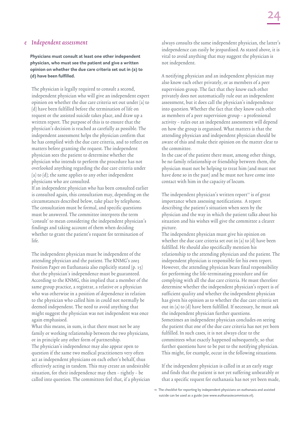#### e Independent assessment

#### **Physicians must consult at least one other independent physician, who must see the patient and give a written opinion on whether the due care criteria set out in (a) to (d) have been fulfilled.**

The physician is legally required to consult a second, independent physician who will give an independent expert opinion on whether the due care criteria set out under (a) to (d) have been fulfilled before the termination of life on request or the assisted suicide takes place, and draw up a written report. The purpose of this is to ensure that the physician's decision is reached as carefully as possible. The independent assessment helps the physician confirm that he has complied with the due care criteria, and to reflect on matters before granting the request. The independent physician sees the patient to determine whether the physician who intends to perform the procedure has not overlooked anything regarding the due care criteria under (a) to (d); the same applies to any other independent physicians who are consulted.

If an independent physician who has been consulted earlier is consulted again, this consultation may, depending on the circumstances described below, take place by telephone. The consultation must be formal, and specific questions must be answered. The committee interprets the term 'consult' to mean considering the independent physician's findings and taking account of them when deciding whether to grant the patient's request for termination of life.

The independent physician must be independent of the attending physician and the patient. The KNMG's 2003 Position Paper on Euthanasia also explicitly stated (p. 15) that the physician's independence must be guaranteed. According to the KNMG, this implied that a member of the same group practice, a registrar, a relative or a physician who was otherwise in a position of dependence in relation to the physician who called him in could not normally be deemed independent. The need to avoid anything that might suggest the physician was not independent was once again emphasised.

What this means, in sum, is that there must not be any family or working relationship between the two physicians, or in principle any other form of partnership.

The physician's independence may also appear open to question if the same two medical practitioners very often act as independent physicians on each other's behalf, thus effectively acting in tandem. This may create an undesirable situation, for their independence may then – rightly – be called into question. The committees feel that, if a physician always consults the same independent physician, the latter's independence can easily be jeopardised. As stated above, it is vital to avoid anything that may suggest the physician is not independent.

A notifying physician and an independent physician may also know each other privately, or as members of a peer supervision group. The fact that they know each other privately does not automatically rule out an independent assessment, but it does call the physician's independence into question. Whether the fact that they know each other as members of a peer supervision group – a professional activity – rules out an independent assessment will depend on how the group is organised. What matters is that the attending physician and independent physician should be aware of this and make their opinion on the matter clear to the committee.

In the case of the patient there must, among other things, be no family relationship or friendship between them, the physician must not be helping to treat him (and must not have done so in the past) and he must not have come into contact with him in the capacity of locum.

The independent physician's written report $11$  is of great importance when assessing notifications. A report describing the patient's situation when seen by the physician and the way in which the patient talks about his situation and his wishes will give the committee a clearer picture.

The independent physician must give his opinion on whether the due care criteria set out in (a) to (d) have been fulfilled. He should also specifically mention his relationship to the attending physician and the patient. The independent physician is responsible for his own report. However, the attending physician bears final responsibility for performing the life-terminating procedure and for complying with all the due care criteria. He must therefore determine whether the independent physician's report is of sufficient quality and whether the independent physician has given his opinion as to whether the due care criteria set out in (a) to (d) have been fulfilled. If necessary, he must ask the independent physician further questions. Sometimes an independent physician concludes on seeing the patient that one of the due care criteria has not yet been fulfilled. In such cases, it is not always clear to the committees what exactly happened subsequently, so that further questions have to be put to the notifying physician. This might, for example, occur in the following situations.

If the independent physician is called in at an early stage and finds that the patient is not yet suffering unbearably or that a specific request for euthanasia has not yet been made,

<sup>11</sup> The checklist for reporting by independent physicians on euthanasia and assisted suicide can be used as a guide (see www.euthanasiecommissie.nl).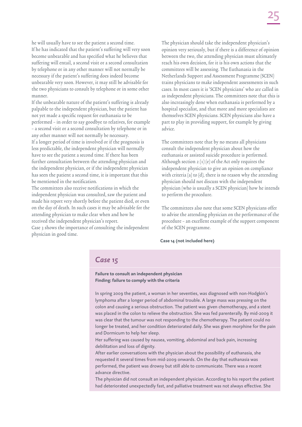he will usually have to see the patient a second time. If he has indicated that the patient's suffering will very soon become unbearable and has specified what he believes that suffering will entail, a second visit or a second consultation by telephone or in any other manner will not normally be necessary if the patient's suffering does indeed become unbearable very soon. However, it may still be advisable for the two physicians to consult by telephone or in some other manner.

If the unbearable nature of the patient's suffering is already palpable to the independent physician, but the patient has not yet made a specific request for euthanasia to be performed – in order to say goodbye to relatives, for example – a second visit or a second consultation by telephone or in any other manner will not normally be necessary. If a longer period of time is involved or if the prognosis is less predictable, the independent physician will normally have to see the patient a second time. If there has been further consultation between the attending physician and the independent physician, or if the independent physician has seen the patient a second time, it is important that this be mentioned in the notification.

The committees also receive notifications in which the independent physician was consulted, saw the patient and made his report very shortly before the patient died, or even on the day of death. In such cases it may be advisable for the attending physician to make clear when and how he received the independent physician's report.

Case 3 shows the importance of consulting the independent physician in good time.

The physician should take the independent physician's opinion very seriously, but if there is a difference of opinion between the two, the attending physician must ultimately reach his own decision, for it is his own actions that the committees will be assessing. The Euthanasia in the Netherlands Support and Assessment Programme (SCEN) trains physicians to make independent assessments in such cases. In most cases it is 'SCEN physicians' who are called in as independent physicians. The committees note that this is also increasingly done when euthanasia is performed by a hospital specialist, and that more and more specialists are themselves SCEN physicians. SCEN physicians also have a part to play in providing support, for example by giving advice.

The committees note that by no means all physicians consult the independent physician about how the euthanasia or assisted suicide procedure is performed. Although section  $2(1)(e)$  of the Act only requires the independent physician to give an opinion on compliance with criteria (a) to (d), there is no reason why the attending physician should not discuss with the independent physician (who is usually a SCEN physician) how he intends to perform the procedure.

The committees also note that some SCEN physicians offer to advise the attending physician on the performance of the procedure – an excellent example of the support component of the SCEN programme.

#### **Case 14 (not included here)**

## *Case 15*

**Failure to consult an independent physician Finding: failure to comply with the criteria**

In spring 2009 the patient, a woman in her seventies, was diagnosed with non-Hodgkin's lymphoma after a longer period of abdominal trouble. A large mass was pressing on the colon and causing a serious obstruction. The patient was given chemotherapy, and a stent was placed in the colon to relieve the obstruction. She was fed parenterally. By mid-2009 it was clear that the tumour was not responding to the chemotherapy. The patient could no longer be treated, and her condition deteriorated daily. She was given morphine for the pain and Dormicum to help her sleep.

Her suffering was caused by nausea, vomiting, abdominal and back pain, increasing debilitation and loss of dignity.

After earlier conversations with the physician about the possibility of euthanasia, she requested it several times from mid-2009 onwards. On the day that euthanasia was performed, the patient was drowsy but still able to communicate. There was a recent advance directive.

The physician did not consult an independent physician. According to his report the patient had deteriorated unexpectedly fast, and palliative treatment was not always effective. She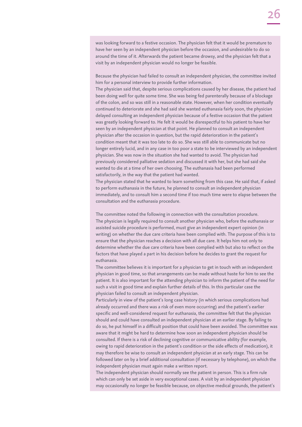was looking forward to a festive occasion. The physician felt that it would be premature to have her seen by an independent physician before the occasion, and undesirable to do so around the time of it. Afterwards the patient became drowsy, and the physician felt that a visit by an independent physician would no longer be feasible.

Because the physician had failed to consult an independent physician, the committee invited him for a personal interview to provide further information.

The physician said that, despite serious complications caused by her disease, the patient had been doing well for quite some time. She was being fed parenterally because of a blockage of the colon, and so was still in a reasonable state. However, when her condition eventually continued to deteriorate and she had said she wanted euthanasia fairly soon, the physician delayed consulting an independent physician because of a festive occasion that the patient was greatly looking forward to. He felt it would be disrespectful to his patient to have her seen by an independent physician at that point. He planned to consult an independent physician after the occasion in question, but the rapid deterioration in the patient's condition meant that it was too late to do so. She was still able to communicate but no longer entirely lucid, and in any case in too poor a state to be interviewed by an independent physician. She was now in the situation she had wanted to avoid. The physician had previously considered palliative sedation and discussed it with her, but she had said she wanted to die at a time of her own choosing. The euthanasia had been performed satisfactorily, in the way that the patient had wanted.

The physician stated that he wanted to learn something from this case. He said that, if asked to perform euthanasia in the future, he planned to consult an independent physician immediately, and to consult him a second time if too much time were to elapse between the consultation and the euthanasia procedure.

The committee noted the following in connection with the consultation procedure. The physician is legally required to consult another physician who, before the euthanasia or assisted suicide procedure is performed, must give an independent expert opinion (in writing) on whether the due care criteria have been complied with. The purpose of this is to ensure that the physician reaches a decision with all due care. It helps him not only to determine whether the due care criteria have been complied with but also to reflect on the factors that have played a part in his decision before he decides to grant the request for euthanasia.

The committee believes it is important for a physician to get in touch with an independent physician in good time, so that arrangements can be made without haste for him to see the patient. It is also important for the attending physician to inform the patient of the need for such a visit in good time and explain further details of this. In this particular case the physician failed to consult an independent physician.

Particularly in view of the patient's long case history (in which serious complications had already occurred and there was a risk of even more occurring) and the patient's earlier specific and well-considered request for euthanasia, the committee felt that the physician should and could have consulted an independent physician at an earlier stage. By failing to do so, he put himself in a difficult position that could have been avoided. The committee was aware that it might be hard to determine how soon an independent physician should be consulted. If there is a risk of declining cognitive or communicative ability (for example, owing to rapid deterioration in the patient's condition or the side effects of medication), it may therefore be wise to consult an independent physician at an early stage. This can be followed later on by a brief additional consultation (if necessary by telephone), on which the independent physician must again make a written report.

The independent physician should normally see the patient in person. This is a firm rule which can only be set aside in very exceptional cases. A visit by an independent physician may occasionally no longer be feasible because, on objective medical grounds, the patient's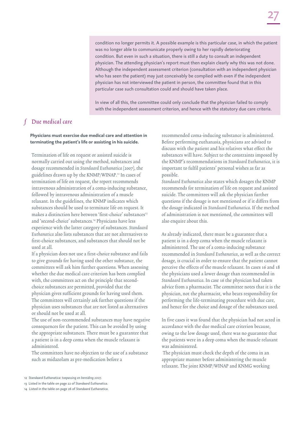condition no longer permits it. A possible example is this particular case, in which the patient was no longer able to communicate properly owing to her rapidly deteriorating condition. But even in such a situation, there is still a duty to consult an independent physician. The attending physician's report must then explain clearly why this was not done. Although the independent assessment criterion (consultation with an independent physician who has seen the patient) may just conceivably be complied with even if the independent physician has not interviewed the patient in person, the committee found that in this particular case such consultation could and should have taken place.

In view of all this, the committee could only conclude that the physician failed to comply with the independent assessment criterion, and hence with the statutory due care criteria.

## f Due medical care

#### **Physicians must exercise due medical care and attention in terminating the patient's life or assisting in his suicide.**

Termination of life on request or assisted suicide is normally carried out using the method, substances and dosage recommended in Standaard Euthanatica (2007), the guidelines drawn up by the KNMP/WINAP.12 In cases of termination of life on request, the report recommends intravenous administration of a coma-inducing substance, followed by intravenous administration of a muscle relaxant. In the guidelines, the KNMP indicates which substances should be used to terminate life on request. It makes a distinction here between 'first-choice' substances<sup>13</sup> and 'second-choice' substances.<sup>14</sup> Physicians have less experience with the latter category of substances. Standaard Euthanatica also lists substances that are not alternatives to first-choice substances, and substances that should not be used at all.

If a physician does not use a first-choice substance and fails to give grounds for having used the other substance, the committees will ask him further questions. When assessing whether the due medical care criterion has been complied with, the committees act on the principle that secondchoice substances are permitted, provided that the physician gives sufficient grounds for having used them. The committees will certainly ask further questions if the physician uses substances that are not listed as alternatives or should not be used at all.

The use of non-recommended substances may have negative consequences for the patient. This can be avoided by using the appropriate substances. There must be a guarantee that a patient is in a deep coma when the muscle relaxant is administered.

The committees have no objection to the use of a substance such as midazolam as pre-medication before a

recommended coma-inducing substance is administered. Before performing euthanasia, physicians are advised to discuss with the patient and his relatives what effect the substances will have. Subject to the constraints imposed by the KNMP's recommendations in Standaard Euthanatica, it is important to fulfil patients' personal wishes as far as possible.

Standaard Euthanatica also states which dosages the KNMP recommends for termination of life on request and assisted suicide. The committees will ask the physician further questions if the dosage is not mentioned or if it differs from the dosage indicated in Standaard Euthanatica. If the method of administration is not mentioned, the committees will also enquire about this.

As already indicated, there must be a guarantee that a patient is in a deep coma when the muscle relaxant is administered. The use of a coma-inducing substance recommended in Standaard Euthanatica, as well as the correct dosage, is crucial in order to ensure that the patient cannot perceive the effects of the muscle relaxant. In cases 16 and 18 the physicians used a lower dosage than recommended in Standaard Euthanatica. In case 16 the physician had taken advice from a pharmacist. The committee notes that it is the physician, not the pharmacist, who bears responsibility for performing the life-terminating procedure with due care, and hence for the choice and dosage of the substances used.

In five cases it was found that the physician had not acted in accordance with the due medical care criterion because, owing to the low dosage used, there was no guarantee that the patients were in a deep coma when the muscle relaxant was administered.

 The physician must check the depth of the coma in an appropriate manner before administering the muscle relaxant. The joint KNMP/WINAP and KNMG working

<sup>12</sup>  *Standaard Euthanatica: toepassing en bereiding 2007.*

<sup>13</sup> Listed in the table on page 22 o*f Standaard Euthanatica.*

<sup>14</sup> Listed in the table on page 26 of *Standaard Euthanatica*.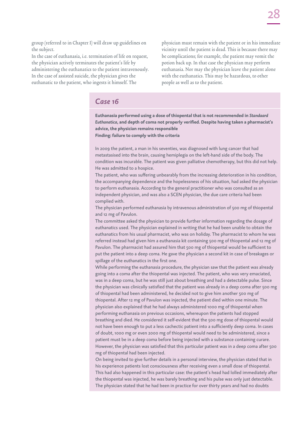group (referred to in Chapter I) will draw up guidelines on the subject.

In the case of euthanasia, i.e. termination of life on request, the physician actively terminates the patient's life by administering the euthanatics to the patient intravenously. In the case of assisted suicide, the physician gives the euthanatic to the patient, who ingests it himself. The

physician must remain with the patient or in his immediate vicinity until the patient is dead. This is because there may be complications; for example, the patient may vomit the potion back up. In that case the physician may perform euthanasia. Nor may the physician leave the patient alone with the euthanatics. This may be hazardous, to other people as well as to the patient.

## *Case 16*

**Euthanasia performed using a dose of thiopental that is not recommended in** *Standaard Euthanatica***, and depth of coma not properly verified. Despite having taken a pharmacist's advice, the physician remains responsible Finding: failure to comply with the criteria** 

In 2009 the patient, a man in his seventies, was diagnosed with lung cancer that had metastasised into the brain, causing hemiplegia on the left-hand side of the body. The condition was incurable. The patient was given palliative chemotherapy, but this did not help. He was admitted to a hospice.

The patient, who was suffering unbearably from the increasing deterioration in his condition, the accompanying dependence and the hopelessness of his situation, had asked the physician to perform euthanasia. According to the general practitioner who was consulted as an independent physician, and was also a SCEN physician, the due care criteria had been complied with.

The physician performed euthanasia by intravenous administration of 500 mg of thiopental and 12 mg of Pavulon.

The committee asked the physician to provide further information regarding the dosage of euthanatics used. The physician explained in writing that he had been unable to obtain the euthanatics from his usual pharmacist, who was on holiday. The pharmacist to whom he was referred instead had given him a euthanasia kit containing 500 mg of thiopental and 12 mg of Pavulon. The pharmacist had assured him that 500 mg of thiopental would be sufficient to put the patient into a deep coma. He gave the physician a second kit in case of breakages or spillage of the euthanatics in the first one.

While performing the euthanasia procedure, the physician saw that the patient was already going into a coma after the thiopental was injected. The patient, who was very emaciated, was in a deep coma, but he was still just about breathing and had a detectable pulse. Since the physician was clinically satisfied that the patient was already in a deep coma after 500 mg of thiopental had been administered, he decided not to give him another 500 mg of thiopental. After 12 mg of Pavulon was injected, the patient died within one minute. The physician also explained that he had always administered 1000 mg of thiopental when performing euthanasia on previous occasions, whereupon the patients had stopped breathing and died. He considered it self-evident that the 500 mg dose of thiopental would not have been enough to put a less cachectic patient into a sufficiently deep coma. In cases of doubt, 1000 mg or even 2000 mg of thiopental would need to be administered, since a patient must be in a deep coma before being injected with a substance containing curare. However, the physician was satisfied that this particular patient was in a deep coma after 500 mg of thiopental had been injected.

On being invited to give further details in a personal interview, the physician stated that in his experience patients lost consciousness after receiving even a small dose of thiopental. This had also happened in this particular case: the patient's head had lolled immediately after the thiopental was injected, he was barely breathing and his pulse was only just detectable. The physician stated that he had been in practice for over thirty years and had no doubts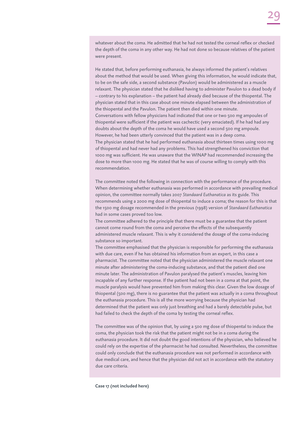whatever about the coma. He admitted that he had not tested the corneal reflex or checked the depth of the coma in any other way. He had not done so because relatives of the patient were present.

He stated that, before performing euthanasia, he always informed the patient's relatives about the method that would be used. When giving this information, he would indicate that, to be on the safe side, a second substance (Pavulon) would be administered as a muscle relaxant. The physician stated that he disliked having to administer Pavulon to a dead body if – contrary to his explanation – the patient had already died because of the thiopental. The physician stated that in this case about one minute elapsed between the administration of the thiopental and the Pavulon. The patient then died within one minute. Conversations with fellow physicians had indicated that one or two 500 mg ampoules of thiopental were sufficient if the patient was cachectic (very emaciated). If he had had any doubts about the depth of the coma he would have used a second 500 mg ampoule. However, he had been utterly convinced that the patient was in a deep coma. The physician stated that he had performed euthanasia about thirteen times using 1000 mg of thiopental and had never had any problems. This had strengthened his conviction that 1000 mg was sufficient. He was unaware that the WINAP had recommended increasing the dose to more than 1000 mg. He stated that he was of course willing to comply with this recommendation.

The committee noted the following in connection with the performance of the procedure. When determining whether euthanasia was performed in accordance with prevailing medical opinion, the committee normally takes 2007 *Standaard Euthanatica* as its guide. This recommends using a 2000 mg dose of thiopental to induce a coma; the reason for this is that the 1500 mg dosage recommended in the previous (1998) version of *Standaard Euthanatica* had in some cases proved too low.

The committee adhered to the principle that there must be a guarantee that the patient cannot come round from the coma and perceive the effects of the subsequently administered muscle relaxant. This is why it considered the dosage of the coma-inducing substance so important.

The committee emphasised that the physician is responsible for performing the euthanasia with due care, even if he has obtained his information from an expert, in this case a pharmacist. The committee noted that the physician administered the muscle relaxant one minute after administering the coma-inducing substance, and that the patient died one minute later. The administration of Pavulon paralysed the patient's muscles, leaving him incapable of any further response. If the patient had not been in a coma at that point, the muscle paralysis would have prevented him from making this clear. Given the low dosage of thiopental (500 mg), there is no guarantee that the patient was actually in a coma throughout the euthanasia procedure. This is all the more worrying because the physician had determined that the patient was only just breathing and had a barely detectable pulse, but had failed to check the depth of the coma by testing the corneal reflex.

The committee was of the opinion that, by using a 500 mg dose of thiopental to induce the coma, the physician took the risk that the patient might not be in a coma during the euthanasia procedure. It did not doubt the good intentions of the physician, who believed he could rely on the expertise of the pharmacist he had consulted. Nevertheless, the committee could only conclude that the euthanasia procedure was not performed in accordance with due medical care, and hence that the physician did not act in accordance with the statutory due care criteria.

**Case 17 (not included here)**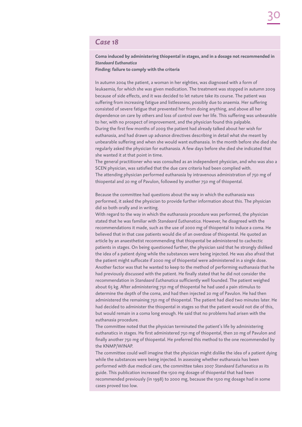## *Case 18*

#### **Coma induced by administering thiopental in stages, and in a dosage not recommended in**  *Standaard Euthanatica*

**Finding: failure to comply with the criteria** 

In autumn 2004 the patient, a woman in her eighties, was diagnosed with a form of leukaemia, for which she was given medication. The treatment was stopped in autumn 2009 because of side effects, and it was decided to let nature take its course. The patient was suffering from increasing fatigue and listlessness, possibly due to anaemia. Her suffering consisted of severe fatigue that prevented her from doing anything, and above all her dependence on care by others and loss of control over her life. This suffering was unbearable to her, with no prospect of improvement, and the physician found this palpable. During the first few months of 2009 the patient had already talked about her wish for euthanasia, and had drawn up advance directives describing in detail what she meant by unbearable suffering and when she would want euthanasia. In the month before she died she regularly asked the physician for euthanasia. A few days before she died she indicated that she wanted it at that point in time.

The general practitioner who was consulted as an independent physician, and who was also a SCEN physician, was satisfied that the due care criteria had been complied with. The attending physician performed euthanasia by intravenous administration of 750 mg of thiopental and 20 mg of Pavulon, followed by another 750 mg of thiopental.

Because the committee had questions about the way in which the euthanasia was performed, it asked the physician to provide further information about this. The physician did so both orally and in writing.

With regard to the way in which the euthanasia procedure was performed, the physician stated that he was familiar with *Standaard Euthanatica*. However, he disagreed with the recommendations it made, such as the use of 2000 mg of thiopental to induce a coma. He believed that in that case patients would die of an overdose of thiopental. He quoted an article by an anaesthetist recommending that thiopental be administered to cachectic patients in stages. On being questioned further, the physician said that he strongly disliked the idea of a patient dying while the substances were being injected. He was also afraid that the patient might suffocate if 2000 mg of thiopental were administered in a single dose. Another factor was that he wanted to keep to the method of performing euthanasia that he had previously discussed with the patient. He finally stated that he did not consider the recommendation in *Standaard Euthanatica* sufficiently well founded. The patient weighed about 65 kg. After administering 750 mg of thiopental he had used a pain stimulus to determine the depth of the coma, and had then injected 20 mg of Pavulon. He had then administered the remaining 750 mg of thiopental. The patient had died two minutes later. He had decided to administer the thiopental in stages so that the patient would not die of this, but would remain in a coma long enough. He said that no problems had arisen with the euthanasia procedure.

The committee noted that the physician terminated the patient's life by administering euthanatics in stages. He first administered 750 mg of thiopental, then 20 mg of Pavulon and finally another 750 mg of thiopental. He preferred this method to the one recommended by the KNMP/WINAP.

The committee could well imagine that the physician might dislike the idea of a patient dying while the substances were being injected. In assessing whether euthanasia has been performed with due medical care, the committee takes 2007 *Standaard Euthanatica* as its guide. This publication increased the 1500 mg dosage of thiopental that had been recommended previously (in 1998) to 2000 mg, because the 1500 mg dosage had in some cases proved too low.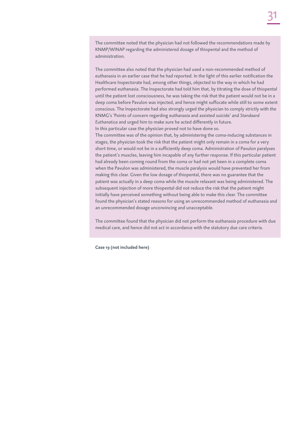The committee noted that the physician had not followed the recommendations made by KNMP/WINAP regarding the administered dosage of thiopental and the method of administration.

The committee also noted that the physician had used a non-recommended method of euthanasia in an earlier case that he had reported. In the light of this earlier notification the Healthcare Inspectorate had, among other things, objected to the way in which he had performed euthanasia. The Inspectorate had told him that, by titrating the dose of thiopental until the patient lost consciousness, he was taking the risk that the patient would not be in a deep coma before Pavulon was injected, and hence might suffocate while still to some extent conscious. The Inspectorate had also strongly urged the physician to comply strictly with the KNMG's 'Points of concern regarding euthanasia and assisted suicide' and *Standaard Euthanatica* and urged him to make sure he acted differently in future. In this particular case the physician proved not to have done so.

The committee was of the opinion that, by administering the coma-inducing substances in stages, the physician took the risk that the patient might only remain in a coma for a very short time, or would not be in a sufficiently deep coma. Administration of Pavulon paralyses the patient's muscles, leaving him incapable of any further response. If this particular patient had already been coming round from the coma or had not yet been in a complete coma when the Pavulon was administered, the muscle paralysis would have prevented her from making this clear. Given the low dosage of thiopental, there was no guarantee that the patient was actually in a deep coma while the muscle relaxant was being administered. The subsequent injection of more thiopental did not reduce the risk that the patient might initially have perceived something without being able to make this clear. The committee found the physician's stated reasons for using an unrecommended method of euthanasia and an unrecommended dosage unconvincing and unacceptable.

The committee found that the physician did not perform the euthanasia procedure with due medical care, and hence did not act in accordance with the statutory due care criteria.

**Case 19 (not included here)**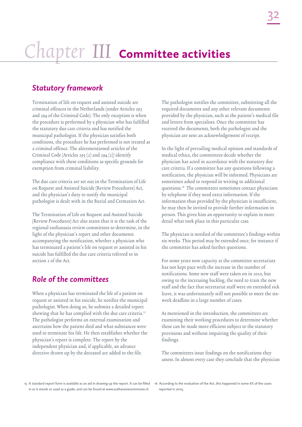# Chapter III **Committee activities**

## *Statutory framework*

Termination of life on request and assisted suicide are criminal offences in the Netherlands (under Articles 293 and 294 of the Criminal Code). The only exception is when the procedure is performed by a physician who has fulfilled the statutory due care criteria and has notified the municipal pathologist. If the physician satisfies both conditions, the procedure he has performed is not treated as a criminal offence. The aforementioned articles of the Criminal Code (Articles 293 (2) and 294 (2)) identify compliance with these conditions as specific grounds for exemption from criminal liability.

The due care criteria are set out in the Termination of Life on Request and Assisted Suicide (Review Procedures) Act, and the physician's duty to notify the municipal pathologist is dealt with in the Burial and Cremation Act.

The Termination of Life on Request and Assisted Suicide (Review Procedures) Act also states that it is the task of the regional euthanasia review committees to determine, in the light of the physician's report and other documents accompanying the notification, whether a physician who has terminated a patient's life on request or assisted in his suicide has fulfilled the due care criteria referred to in section 2 of the Act.

## *Role of the committees*

When a physician has terminated the life of a patient on request or assisted in his suicide, he notifies the municipal pathologist. When doing so, he submits a detailed report showing that he has complied with the due care criteria.<sup>15</sup> The pathologist performs an external examination and ascertains how the patient died and what substances were used to terminate his life. He then establishes whether the physician's report is complete. The report by the independent physician and, if applicable, an advance directive drawn up by the deceased are added to the file.

The pathologist notifies the committee, submitting all the required documents and any other relevant documents provided by the physician, such as the patient's medical file and letters from specialists. Once the committee has received the documents, both the pathologist and the physician are sent an acknowledgement of receipt.

in the light of prevailing medical opinion and standards of medical ethics, the committees decide whether the physician has acted in accordance with the statutory due care criteria. If a committee has any questions following a notification, the physician will be informed. Physicians are sometimes asked to respond in writing to additional questions.<sup>16</sup> The committees sometimes contact physicians by telephone if they need extra information. If the information thus provided by the physician is insufficient, he may then be invited to provide further information in person. This gives him an opportunity to explain in more detail what took place in this particular case.

The physician is notified of the committee's findings within six weeks. This period may be extended once, for instance if the committee has asked further questions.

For some years now capacity at the committee secretariats has not kept pace with the increase in the number of notifications. Some new staff were taken on in 2010, but owing to the increasing backlog, the need to train the new staff and the fact that secretariat staff were on extended sick leave, it was unfortunately still not possible to meet the sixweek deadline in a large number of cases.

As mentioned in the introduction, the committees are examining their working procedures to determine whether these can be made more efficient subject to the statutory provisions and without impairing the quality of their findings.

The committees issue findings on the notifications they assess. In almost every case they conclude that the physician

15 A standard report form is available as an aid in drawing up the report. It can be filled 16 According to the evaluation of the Act, this happened in some 6% of the cases in as it stands or used as a guide, and can be found at www.euthanasiecommissie.nl.

reported in 2005.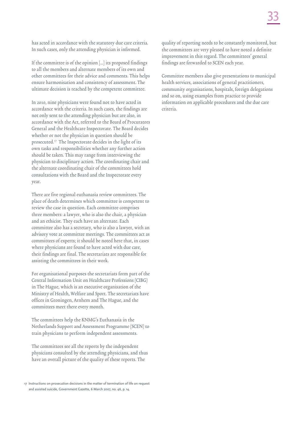has acted in accordance with the statutory due care criteria. In such cases, only the attending physician is informed.

If the committee is of the opinion […] its proposed findings to all the members and alternate members of its own and other committees for their advice and comments. This helps ensure harmonisation and consistency of assessment. The ultimate decision is reached by the competent committee.

In 2010, nine physicians were found not to have acted in accordance with the criteria. In such cases, the findings are not only sent to the attending physician but are also, in accordance with the Act, referred to the Board of Procurators General and the Healthcare Inspectorate. The Board decides whether or not the physician in question should be prosecuted.17 The Inspectorate decides in the light of its own tasks and responsibilities whether any further action should be taken. This may range from interviewing the physician to disciplinary action. The coordinating chair and the alternate coordinating chair of the committees hold consultations with the Board and the Inspectorate every year.

There are five regional euthanasia review committees. The place of death determines which committee is competent to review the case in question. Each committee comprises three members: a lawyer, who is also the chair, a physician and an ethicist. They each have an alternate. Each committee also has a secretary, who is also a lawyer, with an advisory vote at committee meetings. The committees act as committees of experts; it should be noted here that, in cases where physicians are found to have acted with due care, their findings are final. The secretariats are responsible for assisting the committees in their work.

For organisational purposes the secretariats form part of the Central Information Unit on Healthcare Professions (CIBG) in The Hague, which is an executive organisation of the Ministry of Health, Welfare and Sport. The secretariats have offices in Groningen, Arnhem and The Hague, and the committees meet there every month.

The committees help the KNMG's Euthanasia in the Netherlands Support and Assessment Programme (SCEN) to train physicians to perform independent assessments.

The committees see all the reports by the independent physicians consulted by the attending physicians, and thus have an overall picture of the quality of these reports. The

17 Instructions on prosecution decisions in the matter of termination of life on request and assisted suicide, Government Gazette, 6 March 2007, no. 46, p. 14.

quality of reporting needs to be constantly monitored, but the committees are very pleased to have noted a definite improvement in this regard. The committees' general findings are forwarded to SCEN each year.

Committee members also give presentations to municipal health services, associations of general practitioners, community organisations, hospitals, foreign delegations and so on, using examples from practice to provide information on applicable procedures and the due care criteria.